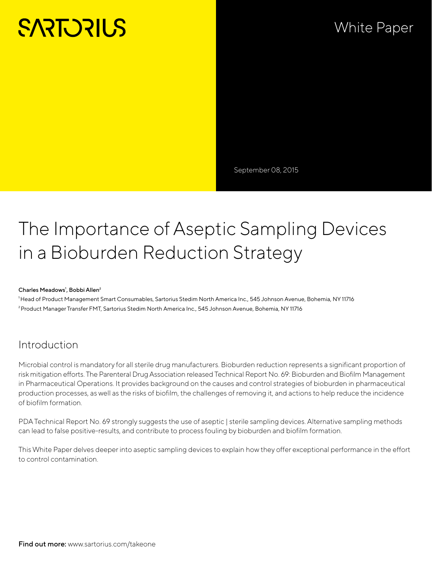# **SARTORILS**

## White Paper

September 08, 2015

## The Importance of Aseptic Sampling Devices in a Bioburden Reduction Strategy

#### Charles Meadows<sup>1</sup>, Bobbi Allen<sup>2</sup>

<sup>1</sup>Head of Product Management Smart Consumables, Sartorius Stedim North America Inc., 545 Johnson Avenue, Bohemia, NY 11716 ²Product Manager Transfer FMT, Sartorius Stedim North America Inc., 545 Johnson Avenue, Bohemia, NY 11716

#### Introduction

Microbial control is mandatory for all sterile drug manufacturers. Bioburden reduction represents a significant proportion of risk mitigation efforts. The Parenteral Drug Association released Technical Report No. 69: Bioburden and Biofilm Management in Pharmaceutical Operations. It provides background on the causes and control strategies of bioburden in pharmaceutical production processes, as well as the risks of biofilm, the challenges of removing it, and actions to help reduce the incidence of biofilm formation.

PDA Technical Report No. 69 strongly suggests the use of aseptic | sterile sampling devices. Alternative sampling methods can lead to false positive-results, and contribute to process fouling by bioburden and biofilm formation.

This White Paper delves deeper into aseptic sampling devices to explain how they offer exceptional performance in the effort to control contamination.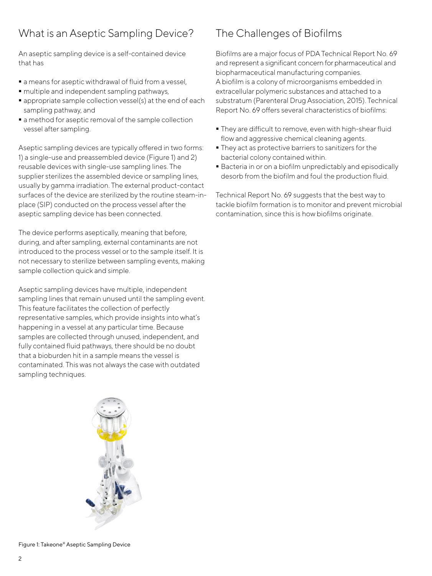#### What is an Aseptic Sampling Device?

An aseptic sampling device is a self-contained device that has

- a means for aseptic withdrawal of fluid from a vessel,
- $\blacksquare$  multiple and independent sampling pathways,
- appropriate sample collection vessel(s) at the end of each sampling pathway, and
- $\blacksquare$  a method for aseptic removal of the sample collection vessel after sampling.

Aseptic sampling devices are typically offered in two forms: 1) a single-use and preassembled device (Figure 1) and 2) reusable devices with single-use sampling lines. The supplier sterilizes the assembled device or sampling lines, usually by gamma irradiation. The external product-contact surfaces of the device are sterilized by the routine steam-inplace (SIP) conducted on the process vessel after the aseptic sampling device has been connected.

The device performs aseptically, meaning that before, during, and after sampling, external contaminants are not introduced to the process vessel or to the sample itself. It is not necessary to sterilize between sampling events, making sample collection quick and simple.

Aseptic sampling devices have multiple, independent sampling lines that remain unused until the sampling event. This feature facilitates the collection of perfectly representative samples, which provide insights into what's happening in a vessel at any particular time. Because samples are collected through unused, independent, and fully contained fluid pathways, there should be no doubt that a bioburden hit in a sample means the vessel is contaminated. This was not always the case with outdated sampling techniques.

## The Challenges of Biofilms

Biofilms are a major focus of PDA Technical Report No. 69 and represent a significant concern for pharmaceutical and biopharmaceutical manufacturing companies. A biofilm is a colony of microorganisms embedded in extracellular polymeric substances and attached to a substratum (Parenteral Drug Association, 2015). Technical Report No. 69 offers several characteristics of biofilms:

- They are difficult to remove, even with high-shear fluid flow and aggressive chemical cleaning agents.
- They act as protective barriers to sanitizers for the bacterial colony contained within.
- Bacteria in or on a biofilm unpredictably and episodically desorb from the biofilm and foul the production fluid.

Technical Report No. 69 suggests that the best way to tackle biofilm formation is to monitor and prevent microbial contamination, since this is how biofilms originate.



Figure 1: Takeone® Aseptic Sampling Device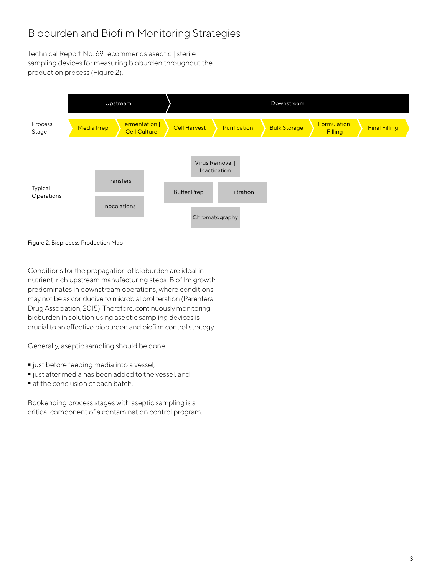## Bioburden and Biofilm Monitoring Strategies

Technical Report No. 69 recommends aseptic | sterile sampling devices for measuring bioburden throughout the production process (Figure 2).

|                       | Upstream          |                                       | Downstream          |                                                                 |                     |                        |                      |
|-----------------------|-------------------|---------------------------------------|---------------------|-----------------------------------------------------------------|---------------------|------------------------|----------------------|
| Process<br>Stage      | <b>Media Prep</b> | Fermentation  <br><b>Cell Culture</b> | <b>Cell Harvest</b> | Purification                                                    | <b>Bulk Storage</b> | Formulation<br>Filling | <b>Final Filling</b> |
| Typical<br>Operations |                   | Transfers<br>Inocolations             | <b>Buffer Prep</b>  | Virus Removal  <br>Inactication<br>Filtration<br>Chromatography |                     |                        |                      |

#### Figure 2: Bioprocess Production Map

Conditions for the propagation of bioburden are ideal in nutrient-rich upstream manufacturing steps. Biofilm growth predominates in downstream operations, where conditions may not be as conducive to microbial proliferation (Parenteral Drug Association, 2015). Therefore, continuously monitoring bioburden in solution using aseptic sampling devices is crucial to an effective bioburden and biofilm control strategy.

Generally, aseptic sampling should be done:

- $\blacksquare$  just before feeding media into a vessel,
- ust after media has been added to the vessel, and
- at the conclusion of each batch.

Bookending process stages with aseptic sampling is a critical component of a contamination control program.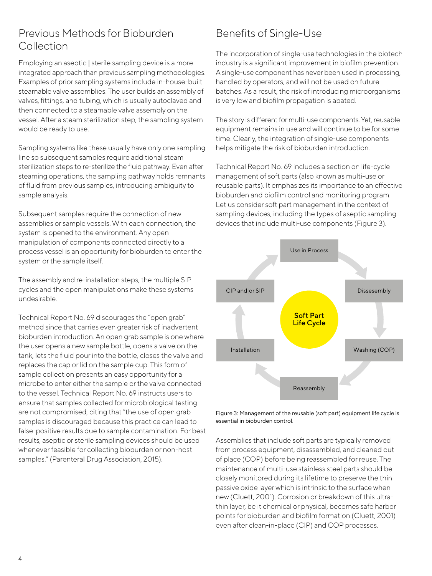#### Previous Methods for Bioburden Collection

Employing an aseptic | sterile sampling device is a more integrated approach than previous sampling methodologies. Examples of prior sampling systems include in-house-built steamable valve assemblies. The user builds an assembly of valves, fittings, and tubing, which is usually autoclaved and then connected to a steamable valve assembly on the vessel. After a steam sterilization step, the sampling system would be ready to use.

Sampling systems like these usually have only one sampling line so subsequent samples require additional steam sterilization steps to re-sterilize the fluid pathway. Even after steaming operations, the sampling pathway holds remnants of fluid from previous samples, introducing ambiguity to sample analysis.

Subsequent samples require the connection of new assemblies or sample vessels. With each connection, the system is opened to the environment. Any open manipulation of components connected directly to a process vessel is an opportunity for bioburden to enter the system or the sample itself.

The assembly and re-installation steps, the multiple SIP cycles and the open manipulations make these systems undesirable.

Technical Report No. 69 discourages the "open grab" method since that carries even greater risk of inadvertent bioburden introduction. An open grab sample is one where the user opens a new sample bottle, opens a valve on the tank, lets the fluid pour into the bottle, closes the valve and replaces the cap or lid on the sample cup. This form of sample collection presents an easy opportunity for a microbe to enter either the sample or the valve connected to the vessel. Technical Report No. 69 instructs users to ensure that samples collected for microbiological testing are not compromised, citing that "the use of open grab samples is discouraged because this practice can lead to false-positive results due to sample contamination. For best results, aseptic or sterile sampling devices should be used whenever feasible for collecting bioburden or non-host samples." (Parenteral Drug Association, 2015).

## Benefits of Single-Use

The incorporation of single-use technologies in the biotech industry is a significant improvement in biofilm prevention. A single-use component has never been used in processing, handled by operators, and will not be used on future batches. As a result, the risk of introducing microorganisms is very low and biofilm propagation is abated.

The story is different for multi-use components. Yet, reusable equipment remains in use and will continue to be for some time. Clearly, the integration of single-use components helps mitigate the risk of bioburden introduction.

Technical Report No. 69 includes a section on life-cycle management of soft parts (also known as multi-use or reusable parts). It emphasizes its importance to an effective bioburden and biofilm control and monitoring program. Let us consider soft part management in the context of sampling devices, including the types of aseptic sampling devices that include multi-use components (Figure 3).





Assemblies that include soft parts are typically removed from process equipment, disassembled, and cleaned out of place (COP) before being reassembled for reuse. The maintenance of multi-use stainless steel parts should be closely monitored during its lifetime to preserve the thin passive oxide layer which is intrinsic to the surface when new (Cluett, 2001). Corrosion or breakdown of this ultrathin layer, be it chemical or physical, becomes safe harbor points for bioburden and biofilm formation (Cluett, 2001) even after clean-in-place (CIP) and COP processes.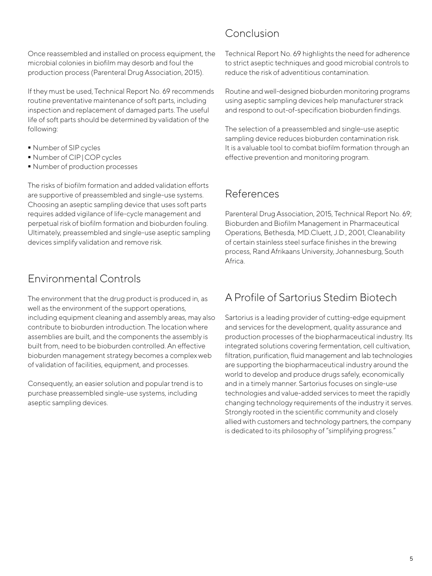Once reassembled and installed on process equipment, the microbial colonies in biofilm may desorb and foul the production process (Parenteral Drug Association, 2015).

If they must be used, Technical Report No. 69 recommends routine preventative maintenance of soft parts, including inspection and replacement of damaged parts. The useful life of soft parts should be determined by validation of the following:

- Number of SIP cycles
- $\blacksquare$  Number of CIP | COP cycles
- Number of production processes

The risks of biofilm formation and added validation efforts are supportive of preassembled and single-use systems. Choosing an aseptic sampling device that uses soft parts requires added vigilance of life-cycle management and perpetual risk of biofilm formation and bioburden fouling. Ultimately, preassembled and single-use aseptic sampling devices simplify validation and remove risk.

#### Environmental Controls

The environment that the drug product is produced in, as well as the environment of the support operations, including equipment cleaning and assembly areas, may also contribute to bioburden introduction. The location where assemblies are built, and the components the assembly is built from, need to be bioburden controlled. An effective bioburden management strategy becomes a complex web of validation of facilities, equipment, and processes.

Consequently, an easier solution and popular trend is to purchase preassembled single-use systems, including aseptic sampling devices.

#### Conclusion

Technical Report No. 69 highlights the need for adherence to strict aseptic techniques and good microbial controls to reduce the risk of adventitious contamination.

Routine and well-designed bioburden monitoring programs using aseptic sampling devices help manufacturer strack and respond to out-of-specification bioburden findings.

The selection of a preassembled and single-use aseptic sampling device reduces bioburden contamination risk. It is a valuable tool to combat biofilm formation through an effective prevention and monitoring program.

#### References

Parenteral Drug Association, 2015, Technical Report No. 69; Bioburden and Biofilm Management in Pharmaceutical Operations, Bethesda, MD.Cluett, J.D., 2001, Cleanability of certain stainless steel surface finishes in the brewing process, Rand Afrikaans University, Johannesburg, South Africa.

## A Profile of Sartorius Stedim Biotech

Sartorius is a leading provider of cutting-edge equipment and services for the development, quality assurance and production processes of the biopharmaceutical industry. Its integrated solutions covering fermentation, cell cultivation, filtration, purification, fluid management and lab technologies are supporting the biopharmaceutical industry around the world to develop and produce drugs safely, economically and in a timely manner. Sartorius focuses on single-use technologies and value-added services to meet the rapidly changing technology requirements of the industry it serves. Strongly rooted in the scientific community and closely allied with customers and technology partners, the company is dedicated to its philosophy of "simplifying progress."